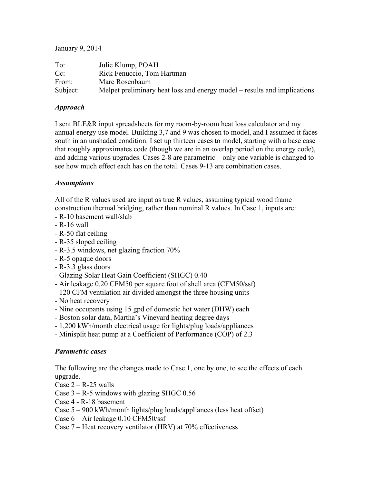## January 9, 2014

| To:      | Julie Klump, POAH                                                        |
|----------|--------------------------------------------------------------------------|
| $Cc$ :   | Rick Fenuccio, Tom Hartman                                               |
| From:    | Marc Rosenbaum                                                           |
| Subject: | Melpet preliminary heat loss and energy model – results and implications |

## *Approach*

I sent BLF&R input spreadsheets for my room-by-room heat loss calculator and my annual energy use model. Building 3,7 and 9 was chosen to model, and I assumed it faces south in an unshaded condition. I set up thirteen cases to model, starting with a base case that roughly approximates code (though we are in an overlap period on the energy code), and adding various upgrades. Cases 2-8 are parametric – only one variable is changed to see how much effect each has on the total. Cases 9-13 are combination cases.

## *Assumptions*

All of the R values used are input as true R values, assuming typical wood frame construction thermal bridging, rather than nominal R values. In Case 1, inputs are:

- R-10 basement wall/slab
- R-16 wall
- R-50 flat ceiling
- R-35 sloped ceiling
- R-3.5 windows, net glazing fraction 70%
- R-5 opaque doors
- R-3.3 glass doors
- Glazing Solar Heat Gain Coefficient (SHGC) 0.40
- Air leakage 0.20 CFM50 per square foot of shell area (CFM50/ssf)
- 120 CFM ventilation air divided amongst the three housing units
- No heat recovery
- Nine occupants using 15 gpd of domestic hot water (DHW) each
- Boston solar data, Martha's Vineyard heating degree days
- 1,200 kWh/month electrical usage for lights/plug loads/appliances
- Minisplit heat pump at a Coefficient of Performance (COP) of 2.3

## *Parametric cases*

The following are the changes made to Case 1, one by one, to see the effects of each upgrade.

- Case  $2 R 25$  walls
- Case  $3 R 5$  windows with glazing SHGC 0.56
- Case 4 R-18 basement
- Case 5 900 kWh/month lights/plug loads/appliances (less heat offset)
- Case 6 Air leakage 0.10 CFM50/ssf
- Case 7 Heat recovery ventilator (HRV) at 70% effectiveness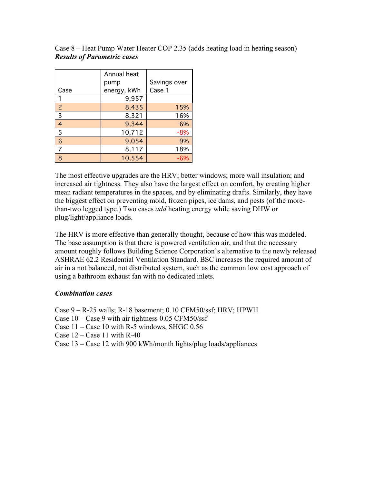|                | Annual heat |              |
|----------------|-------------|--------------|
|                | pump        | Savings over |
| Case           | energy, kWh | Case 1       |
|                | 9,957       |              |
| $\overline{2}$ | 8,435       | 15%          |
| 3              | 8,321       | 16%          |
| 4              | 9,344       | 6%           |
| 5              | 10,712      | $-8%$        |
| 6              | 9,054       | 9%           |
|                | 8,117       | 18%          |
| 8              | 10,554      | -6%          |

Case 8 – Heat Pump Water Heater COP 2.35 (adds heating load in heating season) *Results of Parametric cases*

The most effective upgrades are the HRV; better windows; more wall insulation; and increased air tightness. They also have the largest effect on comfort, by creating higher mean radiant temperatures in the spaces, and by eliminating drafts. Similarly, they have the biggest effect on preventing mold, frozen pipes, ice dams, and pests (of the morethan-two legged type.) Two cases *add* heating energy while saving DHW or plug/light/appliance loads.

The HRV is more effective than generally thought, because of how this was modeled. The base assumption is that there is powered ventilation air, and that the necessary amount roughly follows Building Science Corporation's alternative to the newly released ASHRAE 62.2 Residential Ventilation Standard. BSC increases the required amount of air in a not balanced, not distributed system, such as the common low cost approach of using a bathroom exhaust fan with no dedicated inlets.

#### *Combination cases*

Case 9 – R-25 walls; R-18 basement; 0.10 CFM50/ssf; HRV; HPWH Case 10 – Case 9 with air tightness 0.05 CFM50/ssf Case  $11 - Case 10$  with R-5 windows, SHGC 0.56 Case  $12 - Case 11$  with R-40 Case 13 – Case 12 with 900 kWh/month lights/plug loads/appliances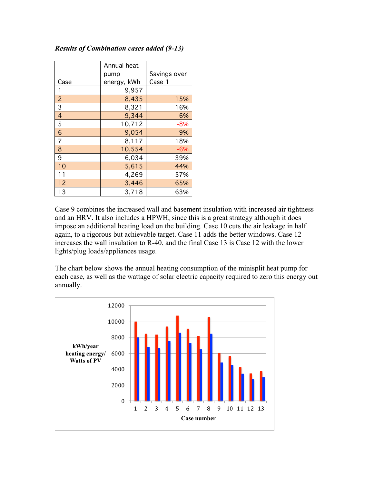## *Results of Combination cases added (9-13)*

|                | Annual heat |              |
|----------------|-------------|--------------|
|                | pump        | Savings over |
| Case           | energy, kWh | Case 1       |
|                | 9,957       |              |
| $\overline{c}$ | 8,435       | 15%          |
| 3              | 8,321       | 16%          |
| 4              | 9,344       | 6%           |
| 5              | 10,712      | $-8%$        |
| 6              | 9,054       | 9%           |
| 7              | 8,117       | 18%          |
| 8              | 10,554      | $-6%$        |
| 9              | 6,034       | 39%          |
| 10             | 5,615       | 44%          |
| 11             | 4,269       | 57%          |
| 12             | 3,446       | 65%          |
| 13             | 3,718       | 63%          |

Case 9 combines the increased wall and basement insulation with increased air tightness and an HRV. It also includes a HPWH, since this is a great strategy although it does impose an additional heating load on the building. Case 10 cuts the air leakage in half again, to a rigorous but achievable target. Case 11 adds the better windows. Case 12 increases the wall insulation to R-40, and the final Case 13 is Case 12 with the lower lights/plug loads/appliances usage.

The chart below shows the annual heating consumption of the minisplit heat pump for each case, as well as the wattage of solar electric capacity required to zero this energy out annually.

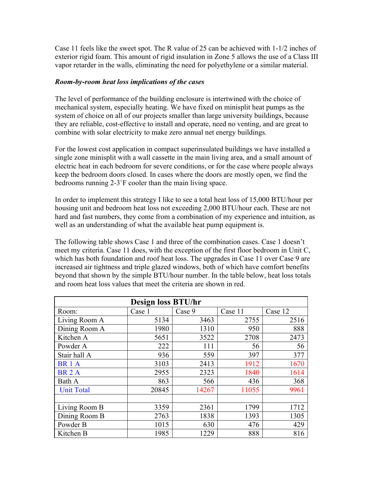Case 11 feels like the sweet spot. The R value of 25 can be achieved with 1-1/2 inches of exterior rigid foam. This amount of rigid insulation in Zone 5 allows the use of a Class III vapor retarder in the walls, eliminating the need for polyethylene or a similar material.

#### *Room-by-room heat loss implications of the cases*

The level of performance of the building enclosure is intertwined with the choice of mechanical system, especially heating. We have fixed on minisplit heat pumps as the system of choice on all of our projects smaller than large university buildings, because they are reliable, cost-effective to install and operate, need no venting, and are great to combine with solar electricity to make zero annual net energy buildings.

For the lowest cost application in compact superinsulated buildings we have installed a single zone minisplit with a wall cassette in the main living area, and a small amount of electric heat in each bedroom for severe conditions, or for the case where people always keep the bedroom doors closed. In cases where the doors are mostly open, we find the bedrooms running 2-3˚F cooler than the main living space.

In order to implement this strategy I like to see a total heat loss of 15,000 BTU/hour per housing unit and bedroom heat loss not exceeding 2,000 BTU/hour each. These are not hard and fast numbers, they come from a combination of my experience and intuition, as well as an understanding of what the available heat pump equipment is.

The following table shows Case 1 and three of the combination cases. Case 1 doesn't meet my criteria. Case 11 does, with the exception of the first floor bedroom in Unit C, which has both foundation and roof heat loss. The upgrades in Case 11 over Case 9 are increased air tightness and triple glazed windows, both of which have comfort benefits beyond that shown by the simple BTU/hour number. In the table below, heat loss totals and room heat loss values that meet the criteria are shown in red.

| Design loss BTU/hr |       |        |         |         |  |
|--------------------|-------|--------|---------|---------|--|
| Case 1<br>Room:    |       | Case 9 | Case 11 | Case 12 |  |
| Living Room A      | 5134  | 3463   | 2755    | 2516    |  |
| Dining Room A      | 1980  | 1310   | 950     | 888     |  |
| Kitchen A          | 5651  | 3522   | 2708    | 2473    |  |
| Powder A           | 222   | 111    | 56      | 56      |  |
| Stair hall A       | 936   | 559    | 397     | 377     |  |
| BR <sub>1</sub> A  | 3103  | 2413   | 1912    | 1670    |  |
| <b>BR2A</b>        | 2955  | 2323   | 1840    | 1614    |  |
| Bath A             | 863   | 566    | 436     | 368     |  |
| <b>Unit Total</b>  | 20845 | 14267  | 11055   | 9961    |  |
|                    |       |        |         |         |  |
| Living Room B      | 3359  | 2361   | 1799    | 1712    |  |
| Dining Room B      | 2763  | 1838   | 1393    | 1305    |  |
| Powder B           | 1015  | 630    | 476     | 429     |  |
| Kitchen B          | 1985  | 1229   | 888     | 816     |  |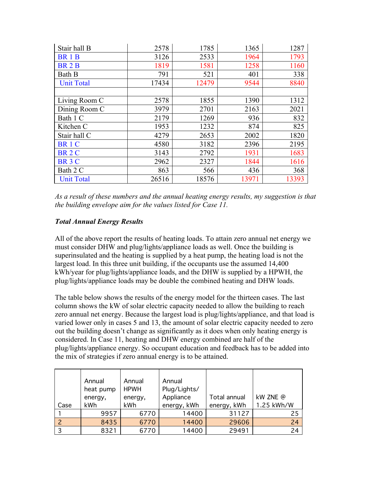| Stair hall B      | 2578  | 1785  | 1365  | 1287  |
|-------------------|-------|-------|-------|-------|
| <b>BR1B</b>       | 3126  | 2533  | 1964  | 1793  |
| <b>BR2B</b>       | 1819  | 1581  | 1258  | 1160  |
| Bath B            | 791   | 521   | 401   | 338   |
| <b>Unit Total</b> | 17434 | 12479 | 9544  | 8840  |
|                   |       |       |       |       |
| Living Room C     | 2578  | 1855  | 1390  | 1312  |
| Dining Room C     | 3979  | 2701  | 2163  | 2021  |
| Bath 1 C          | 2179  | 1269  | 936   | 832   |
| Kitchen C         | 1953  | 1232  | 874   | 825   |
| Stair hall C      | 4279  | 2653  | 2002  | 1820  |
| BR <sub>1</sub> C | 4580  | 3182  | 2396  | 2195  |
| <b>BR2C</b>       | 3143  | 2792  | 1931  | 1683  |
| BR <sub>3</sub> C | 2962  | 2327  | 1844  | 1616  |
| Bath 2 C          | 863   | 566   | 436   | 368   |
| <b>Unit Total</b> | 26516 | 18576 | 13971 | 13393 |

*As a result of these numbers and the annual heating energy results, my suggestion is that the building envelope aim for the values listed for Case 11.*

# *Total Annual Energy Results*

All of the above report the results of heating loads. To attain zero annual net energy we must consider DHW and plug/lights/appliance loads as well. Once the building is superinsulated and the heating is supplied by a heat pump, the heating load is not the largest load. In this three unit building, if the occupants use the assumed 14,400 kWh/year for plug/lights/appliance loads, and the DHW is supplied by a HPWH, the plug/lights/appliance loads may be double the combined heating and DHW loads.

The table below shows the results of the energy model for the thirteen cases. The last column shows the kW of solar electric capacity needed to allow the building to reach zero annual net energy. Because the largest load is plug/lights/appliance, and that load is varied lower only in cases 5 and 13, the amount of solar electric capacity needed to zero out the building doesn't change as significantly as it does when only heating energy is considered. In Case 11, heating and DHW energy combined are half of the plug/lights/appliance energy. So occupant education and feedback has to be added into the mix of strategies if zero annual energy is to be attained.

|      | Annual    | Annual      | Annual       |                     |            |
|------|-----------|-------------|--------------|---------------------|------------|
|      | heat pump | <b>HPWH</b> | Plug/Lights/ |                     |            |
|      | energy,   | energy,     | Appliance    | <b>Total annual</b> | kW ZNE @   |
| Case | kWh       | kWh         | energy, kWh  | energy, kWh         | 1.25 kWh/W |
|      | 9957      | 6770        | 14400        | 31127               | 25         |
|      | 8435      | 6770        | 14400        | 29606               | 24         |
| 3    | 8321      | 6770        | 14400        | 29491               | 24         |